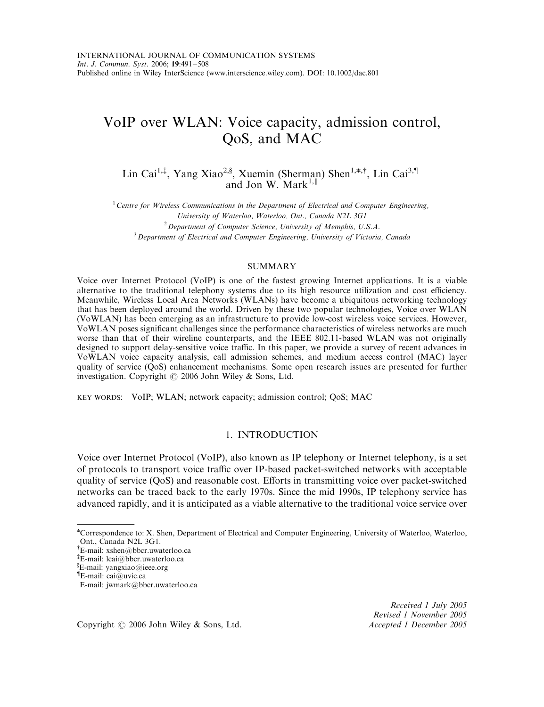# VoIP over WLAN: Voice capacity, admission control, QoS, and MAC

Lin Cai<sup>1,‡</sup>, Yang Xiao<sup>2,§</sup>, Xuemin (Sherman) Shen<sup>1,\*,†</sup>, Lin Cai<sup>3,¶</sup> and Jon W. Mark<sup>1,||</sup>

 $1$  Centre for Wireless Communications in the Department of Electrical and Computer Engineering, University of Waterloo, Waterloo, Ont., Canada N2L 3G1  $2$  Department of Computer Science, University of Memphis, U.S.A. <sup>3</sup> Department of Electrical and Computer Engineering, University of Victoria, Canada

### SUMMARY

Voice over Internet Protocol (VoIP) is one of the fastest growing Internet applications. It is a viable alternative to the traditional telephony systems due to its high resource utilization and cost efficiency. Meanwhile, Wireless Local Area Networks (WLANs) have become a ubiquitous networking technology that has been deployed around the world. Driven by these two popular technologies, Voice over WLAN (VoWLAN) has been emerging as an infrastructure to provide low-cost wireless voice services. However, VoWLAN poses significant challenges since the performance characteristics of wireless networks are much worse than that of their wireline counterparts, and the IEEE 802.11-based WLAN was not originally designed to support delay-sensitive voice traffic. In this paper, we provide a survey of recent advances in VoWLAN voice capacity analysis, call admission schemes, and medium access control (MAC) layer quality of service (QoS) enhancement mechanisms. Some open research issues are presented for further investigation. Copyright  $\odot$  2006 John Wiley & Sons, Ltd.

KEY WORDS: VoIP; WLAN; network capacity; admission control; QoS; MAC

# 1. INTRODUCTION

Voice over Internet Protocol (VoIP), also known as IP telephony or Internet telephony, is a set of protocols to transport voice traffic over IP-based packet-switched networks with acceptable quality of service (QoS) and reasonable cost. Efforts in transmitting voice over packet-switched networks can be traced back to the early 1970s. Since the mid 1990s, IP telephony service has advanced rapidly, and it is anticipated as a viable alternative to the traditional voice service over

Received 1 July 2005 Revised 1 November 2005

Copyright © 2006 John Wiley & Sons, Ltd. Accepted 1 December 2005

n Correspondence to: X. Shen, Department of Electrical and Computer Engineering, University of Waterloo, Waterloo, Ont., Canada N2L 3G1.

y E-mail: xshen@bbcr.uwaterloo.ca

z E-mail: lcai@bbcr.uwaterloo.ca

<sup>}</sup> E-mail: yangxiao@ieee.org

<sup>}</sup> E-mail: cai@uvic.ca

E-mail: jwmark@bbcr.uwaterloo.ca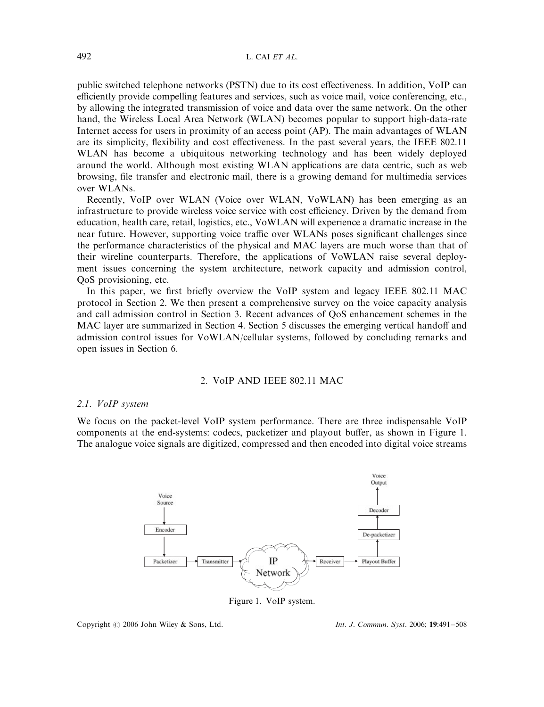public switched telephone networks (PSTN) due to its cost effectiveness. In addition, VoIP can efficiently provide compelling features and services, such as voice mail, voice conferencing, etc., by allowing the integrated transmission of voice and data over the same network. On the other hand, the Wireless Local Area Network (WLAN) becomes popular to support high-data-rate Internet access for users in proximity of an access point (AP). The main advantages of WLAN are its simplicity, flexibility and cost effectiveness. In the past several years, the IEEE 802.11 WLAN has become a ubiquitous networking technology and has been widely deployed around the world. Although most existing WLAN applications are data centric, such as web browsing, file transfer and electronic mail, there is a growing demand for multimedia services over WLANs.

Recently, VoIP over WLAN (Voice over WLAN, VoWLAN) has been emerging as an infrastructure to provide wireless voice service with cost efficiency. Driven by the demand from education, health care, retail, logistics, etc., VoWLAN will experience a dramatic increase in the near future. However, supporting voice traffic over WLANs poses significant challenges since the performance characteristics of the physical and MAC layers are much worse than that of their wireline counterparts. Therefore, the applications of VoWLAN raise several deployment issues concerning the system architecture, network capacity and admission control, QoS provisioning, etc.

In this paper, we first briefly overview the VoIP system and legacy IEEE 802.11 MAC protocol in Section 2. We then present a comprehensive survey on the voice capacity analysis and call admission control in Section 3. Recent advances of QoS enhancement schemes in the MAC layer are summarized in Section 4. Section 5 discusses the emerging vertical handoff and admission control issues for VoWLAN/cellular systems, followed by concluding remarks and open issues in Section 6.

## 2. VoIP AND IEEE 802.11 MAC

### 2.1. VoIP system

We focus on the packet-level VoIP system performance. There are three indispensable VoIP components at the end-systems: codecs, packetizer and playout buffer, as shown in Figure 1. The analogue voice signals are digitized, compressed and then encoded into digital voice streams



Figure 1. VoIP system.

Copyright © 2006 John Wiley & Sons, Ltd. Int. J. Commun. Syst. 2006; 19:491-508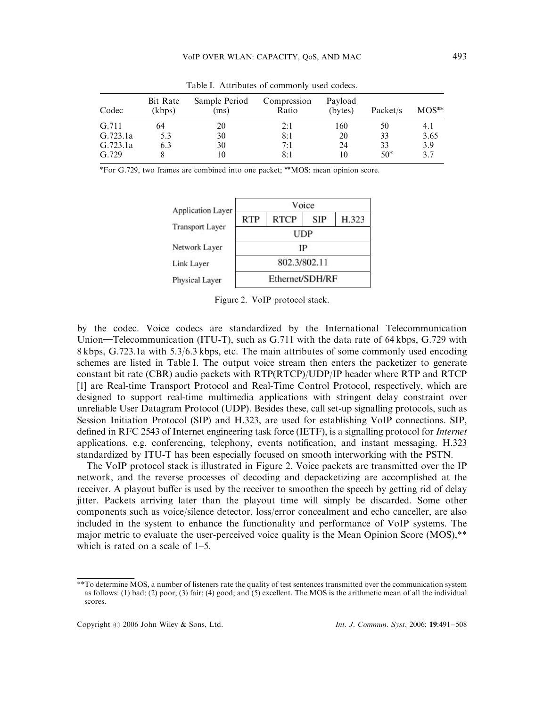| Codec    | Bit Rate<br>(kbps) | Sample Period<br>(ms) | Compression<br>Ratio | Payload<br>(bytes) | Packet/s | $MOS**$ |
|----------|--------------------|-----------------------|----------------------|--------------------|----------|---------|
| G.711    | 64                 | 20                    | 2:1                  | 160                | 50       | 4.1     |
| G.723.1a | 5.3                | 30                    | 8:1                  | 20                 | 33       | 3.65    |
| G.723.1a | 6.3                | 30                    | 7:1                  | 24                 | 33       | 3.9     |
| G.729    |                    | 10                    | 8:1                  | 10                 | $50*$    | 3.7     |

Table I. Attributes of commonly used codecs.

\*For G.729, two frames are combined into one packet; \*\*MOS: mean opinion score.



Figure 2. VoIP protocol stack.

by the codec. Voice codecs are standardized by the International Telecommunication Union—Telecommunication (ITU-T), such as G.711 with the data rate of 64 kbps, G.729 with 8 kbps, G.723.1a with 5.3/6.3 kbps, etc. The main attributes of some commonly used encoding schemes are listed in Table I. The output voice stream then enters the packetizer to generate constant bit rate (CBR) audio packets with RTP(RTCP)/UDP/IP header where RTP and RTCP [1] are Real-time Transport Protocol and Real-Time Control Protocol, respectively, which are designed to support real-time multimedia applications with stringent delay constraint over unreliable User Datagram Protocol (UDP). Besides these, call set-up signalling protocols, such as Session Initiation Protocol (SIP) and H.323, are used for establishing VoIP connections. SIP, defined in RFC 2543 of Internet engineering task force (IETF), is a signalling protocol for Internet applications, e.g. conferencing, telephony, events notification, and instant messaging. H.323 standardized by ITU-T has been especially focused on smooth interworking with the PSTN.

The VoIP protocol stack is illustrated in Figure 2. Voice packets are transmitted over the IP network, and the reverse processes of decoding and depacketizing are accomplished at the receiver. A playout buffer is used by the receiver to smoothen the speech by getting rid of delay jitter. Packets arriving later than the playout time will simply be discarded. Some other components such as voice/silence detector, loss/error concealment and echo canceller, are also included in the system to enhance the functionality and performance of VoIP systems. The major metric to evaluate the user-perceived voice quality is the Mean Opinion Score (MOS),\*\* which is rated on a scale of 1–5.

<sup>\*\*</sup>To determine MOS, a number of listeners rate the quality of test sentences transmitted over the communication system as follows: (1) bad; (2) poor; (3) fair; (4) good; and (5) excellent. The MOS is the arithmetic mean of all the individual scores.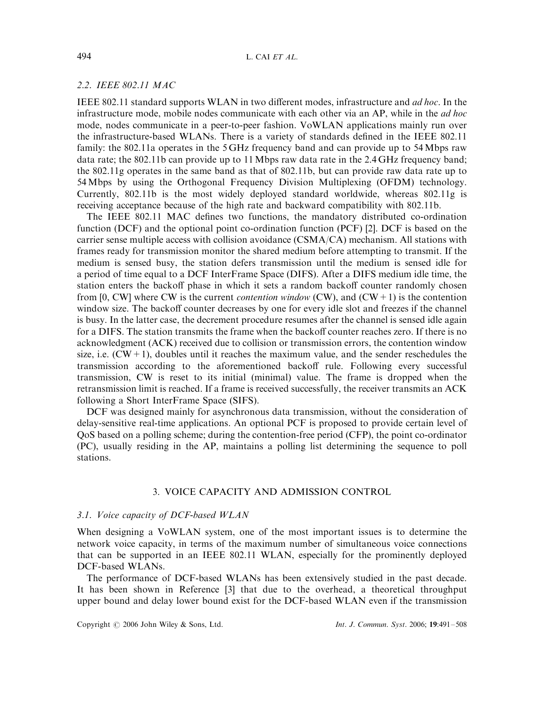### 2.2. IEEE 802.11 MAC

IEEE 802.11 standard supports WLAN in two different modes, infrastructure and ad hoc. In the infrastructure mode, mobile nodes communicate with each other via an AP, while in the *ad hoc* mode, nodes communicate in a peer-to-peer fashion. VoWLAN applications mainly run over the infrastructure-based WLANs. There is a variety of standards defined in the IEEE 802.11 family: the 802.11a operates in the 5 GHz frequency band and can provide up to 54 Mbps raw data rate; the 802.11b can provide up to 11 Mbps raw data rate in the 2.4 GHz frequency band; the 802.11g operates in the same band as that of 802.11b, but can provide raw data rate up to 54 Mbps by using the Orthogonal Frequency Division Multiplexing (OFDM) technology. Currently, 802.11b is the most widely deployed standard worldwide, whereas 802.11g is receiving acceptance because of the high rate and backward compatibility with 802.11b.

The IEEE 802.11 MAC defines two functions, the mandatory distributed co-ordination function (DCF) and the optional point co-ordination function (PCF) [2]. DCF is based on the carrier sense multiple access with collision avoidance (CSMA/CA) mechanism. All stations with frames ready for transmission monitor the shared medium before attempting to transmit. If the medium is sensed busy, the station defers transmission until the medium is sensed idle for a period of time equal to a DCF InterFrame Space (DIFS). After a DIFS medium idle time, the station enters the backoff phase in which it sets a random backoff counter randomly chosen from [0, CW] where CW is the current *contention window* (CW), and (CW+1) is the contention window size. The backoff counter decreases by one for every idle slot and freezes if the channel is busy. In the latter case, the decrement procedure resumes after the channel is sensed idle again for a DIFS. The station transmits the frame when the backoff counter reaches zero. If there is no acknowledgment (ACK) received due to collision or transmission errors, the contention window size, i.e.  $(CW+1)$ , doubles until it reaches the maximum value, and the sender reschedules the transmission according to the aforementioned backoff rule. Following every successful transmission, CW is reset to its initial (minimal) value. The frame is dropped when the retransmission limit is reached. If a frame is received successfully, the receiver transmits an ACK following a Short InterFrame Space (SIFS).

DCF was designed mainly for asynchronous data transmission, without the consideration of delay-sensitive real-time applications. An optional PCF is proposed to provide certain level of QoS based on a polling scheme; during the contention-free period (CFP), the point co-ordinator (PC), usually residing in the AP, maintains a polling list determining the sequence to poll stations.

### 3. VOICE CAPACITY AND ADMISSION CONTROL

### 3.1. Voice capacity of DCF-based WLAN

When designing a VoWLAN system, one of the most important issues is to determine the network voice capacity, in terms of the maximum number of simultaneous voice connections that can be supported in an IEEE 802.11 WLAN, especially for the prominently deployed DCF-based WLANs.

The performance of DCF-based WLANs has been extensively studied in the past decade. It has been shown in Reference [3] that due to the overhead, a theoretical throughput upper bound and delay lower bound exist for the DCF-based WLAN even if the transmission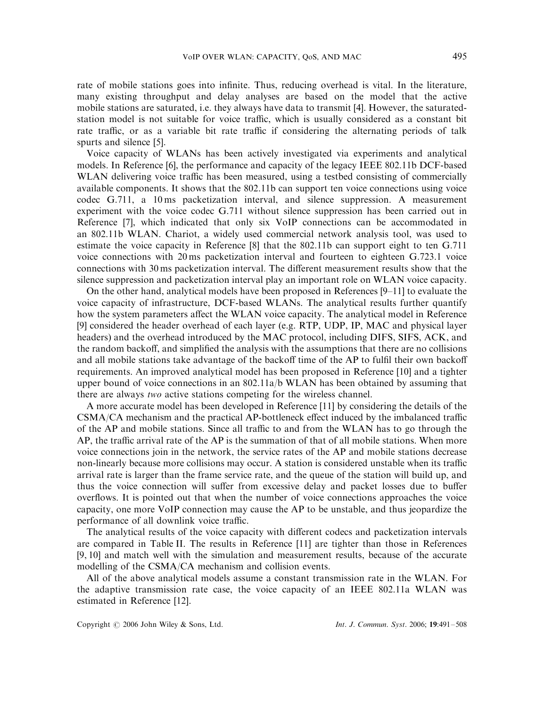rate of mobile stations goes into infinite. Thus, reducing overhead is vital. In the literature, many existing throughput and delay analyses are based on the model that the active mobile stations are saturated, i.e. they always have data to transmit [4]. However, the saturatedstation model is not suitable for voice traffic, which is usually considered as a constant bit rate traffic, or as a variable bit rate traffic if considering the alternating periods of talk spurts and silence [5].

Voice capacity of WLANs has been actively investigated via experiments and analytical models. In Reference [6], the performance and capacity of the legacy IEEE 802.11b DCF-based WLAN delivering voice traffic has been measured, using a testbed consisting of commercially available components. It shows that the 802.11b can support ten voice connections using voice codec G.711, a 10 ms packetization interval, and silence suppression. A measurement experiment with the voice codec G.711 without silence suppression has been carried out in Reference [7], which indicated that only six VoIP connections can be accommodated in an 802.11b WLAN. Chariot, a widely used commercial network analysis tool, was used to estimate the voice capacity in Reference [8] that the 802.11b can support eight to ten G.711 voice connections with 20 ms packetization interval and fourteen to eighteen G.723.1 voice connections with 30 ms packetization interval. The different measurement results show that the silence suppression and packetization interval play an important role on WLAN voice capacity.

On the other hand, analytical models have been proposed in References [9–11] to evaluate the voice capacity of infrastructure, DCF-based WLANs. The analytical results further quantify how the system parameters affect the WLAN voice capacity. The analytical model in Reference [9] considered the header overhead of each layer (e.g. RTP, UDP, IP, MAC and physical layer headers) and the overhead introduced by the MAC protocol, including DIFS, SIFS, ACK, and the random backoff, and simplified the analysis with the assumptions that there are no collisions and all mobile stations take advantage of the backoff time of the AP to fulfil their own backoff requirements. An improved analytical model has been proposed in Reference [10] and a tighter upper bound of voice connections in an 802.11a/b WLAN has been obtained by assuming that there are always two active stations competing for the wireless channel.

A more accurate model has been developed in Reference [11] by considering the details of the CSMA/CA mechanism and the practical AP-bottleneck effect induced by the imbalanced traffic of the AP and mobile stations. Since all traffic to and from the WLAN has to go through the AP, the traffic arrival rate of the AP is the summation of that of all mobile stations. When more voice connections join in the network, the service rates of the AP and mobile stations decrease non-linearly because more collisions may occur. A station is considered unstable when its traffic arrival rate is larger than the frame service rate, and the queue of the station will build up, and thus the voice connection will suffer from excessive delay and packet losses due to buffer overflows. It is pointed out that when the number of voice connections approaches the voice capacity, one more VoIP connection may cause the AP to be unstable, and thus jeopardize the performance of all downlink voice traffic.

The analytical results of the voice capacity with different codecs and packetization intervals are compared in Table II. The results in Reference [11] are tighter than those in References [9, 10] and match well with the simulation and measurement results, because of the accurate modelling of the CSMA/CA mechanism and collision events.

All of the above analytical models assume a constant transmission rate in the WLAN. For the adaptive transmission rate case, the voice capacity of an IEEE 802.11a WLAN was estimated in Reference [12].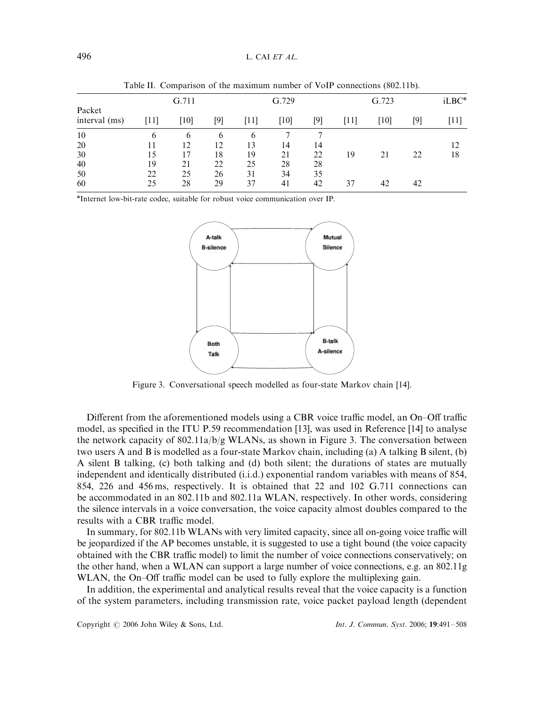|                         | G.711 |      |          | G.729 |      | G.723 |      | iLBC* |     |      |
|-------------------------|-------|------|----------|-------|------|-------|------|-------|-----|------|
| Packet<br>interval (ms) | '11]  | [10] | [9]      | '111  | [10] | [9]   | [11] | [10]  | [9] | [11] |
| 10                      | 6     | 6    | $\sigma$ | 6     |      |       |      |       |     |      |
| 20                      | 11    | 12   | 12       | 13    | 14   | 14    |      |       |     | 12   |
| 30                      | 15    |      | 18       | 19    | 21   | 22    | 19   | 21    | 22  | 18   |
| 40                      | 19    | 21   | 22       | 25    | 28   | 28    |      |       |     |      |
| 50                      | 22    | 25   | 26       | 31    | 34   | 35    |      |       |     |      |
| 60                      | 25    | 28   | 29       | 37    | 41   | 42    | 37   | 42    | 42  |      |

Table II. Comparison of the maximum number of VoIP connections (802.11b).

\*Internet low-bit-rate codec, suitable for robust voice communication over IP.



Figure 3. Conversational speech modelled as four-state Markov chain [14].

Different from the aforementioned models using a CBR voice traffic model, an On–Off traffic model, as specified in the ITU P.59 recommendation [13], was used in Reference [14] to analyse the network capacity of 802.11a/b/g WLANs, as shown in Figure 3. The conversation between two users A and B is modelled as a four-state Markov chain, including (a) A talking B silent, (b) A silent B talking, (c) both talking and (d) both silent; the durations of states are mutually independent and identically distributed (i.i.d.) exponential random variables with means of 854, 854, 226 and 456 ms, respectively. It is obtained that 22 and 102 G.711 connections can be accommodated in an 802.11b and 802.11a WLAN, respectively. In other words, considering the silence intervals in a voice conversation, the voice capacity almost doubles compared to the results with a CBR traffic model.

In summary, for 802.11b WLANs with very limited capacity, since all on-going voice traffic will be jeopardized if the AP becomes unstable, it is suggested to use a tight bound (the voice capacity obtained with the CBR traffic model) to limit the number of voice connections conservatively; on the other hand, when a WLAN can support a large number of voice connections, e.g. an 802.11g WLAN, the On–Off traffic model can be used to fully explore the multiplexing gain.

In addition, the experimental and analytical results reveal that the voice capacity is a function of the system parameters, including transmission rate, voice packet payload length (dependent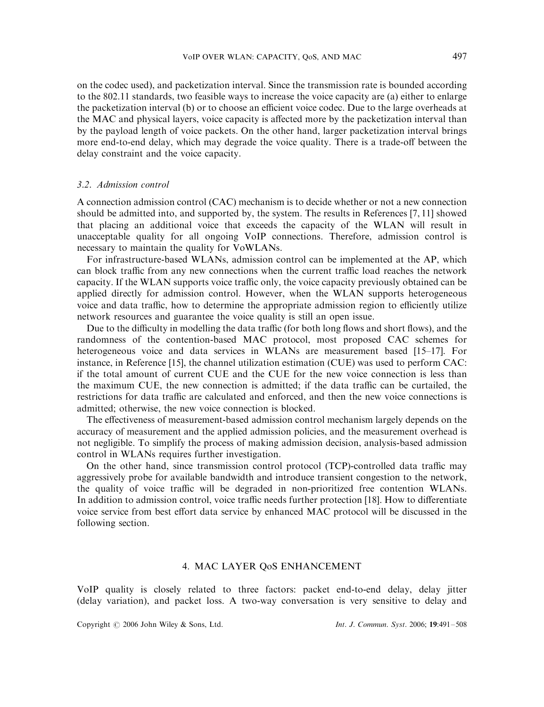on the codec used), and packetization interval. Since the transmission rate is bounded according to the 802.11 standards, two feasible ways to increase the voice capacity are (a) either to enlarge the packetization interval (b) or to choose an efficient voice codec. Due to the large overheads at the MAC and physical layers, voice capacity is affected more by the packetization interval than by the payload length of voice packets. On the other hand, larger packetization interval brings more end-to-end delay, which may degrade the voice quality. There is a trade-off between the delay constraint and the voice capacity.

### 3.2. Admission control

A connection admission control (CAC) mechanism is to decide whether or not a new connection should be admitted into, and supported by, the system. The results in References [7, 11] showed that placing an additional voice that exceeds the capacity of the WLAN will result in unacceptable quality for all ongoing VoIP connections. Therefore, admission control is necessary to maintain the quality for VoWLANs.

For infrastructure-based WLANs, admission control can be implemented at the AP, which can block traffic from any new connections when the current traffic load reaches the network capacity. If the WLAN supports voice traffic only, the voice capacity previously obtained can be applied directly for admission control. However, when the WLAN supports heterogeneous voice and data traffic, how to determine the appropriate admission region to efficiently utilize network resources and guarantee the voice quality is still an open issue.

Due to the difficulty in modelling the data traffic (for both long flows and short flows), and the randomness of the contention-based MAC protocol, most proposed CAC schemes for heterogeneous voice and data services in WLANs are measurement based [15–17]. For instance, in Reference [15], the channel utilization estimation (CUE) was used to perform CAC: if the total amount of current CUE and the CUE for the new voice connection is less than the maximum CUE, the new connection is admitted; if the data traffic can be curtailed, the restrictions for data traffic are calculated and enforced, and then the new voice connections is admitted; otherwise, the new voice connection is blocked.

The effectiveness of measurement-based admission control mechanism largely depends on the accuracy of measurement and the applied admission policies, and the measurement overhead is not negligible. To simplify the process of making admission decision, analysis-based admission control in WLANs requires further investigation.

On the other hand, since transmission control protocol (TCP)-controlled data traffic may aggressively probe for available bandwidth and introduce transient congestion to the network, the quality of voice traffic will be degraded in non-prioritized free contention WLANs. In addition to admission control, voice traffic needs further protection [18]. How to differentiate voice service from best effort data service by enhanced MAC protocol will be discussed in the following section.

# 4. MAC LAYER QoS ENHANCEMENT

VoIP quality is closely related to three factors: packet end-to-end delay, delay jitter (delay variation), and packet loss. A two-way conversation is very sensitive to delay and

Copyright © 2006 John Wiley & Sons, Ltd. Int. J. Commun. Syst. 2006; 19:491-508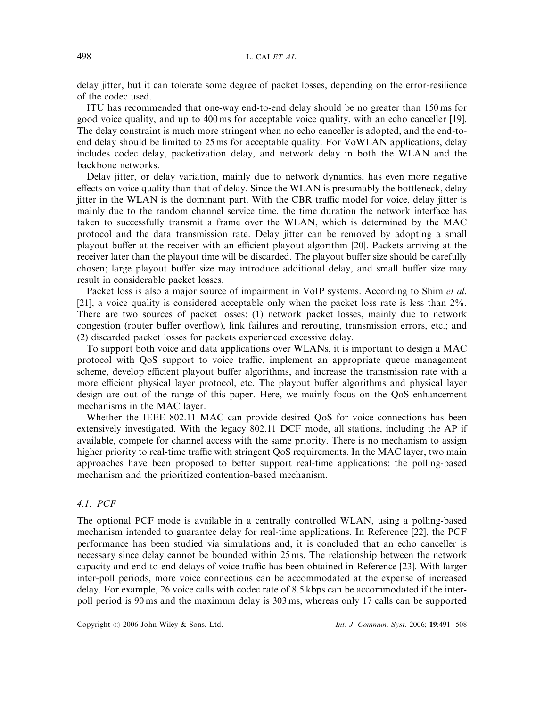delay jitter, but it can tolerate some degree of packet losses, depending on the error-resilience of the codec used.

ITU has recommended that one-way end-to-end delay should be no greater than 150 ms for good voice quality, and up to 400 ms for acceptable voice quality, with an echo canceller [19]. The delay constraint is much more stringent when no echo canceller is adopted, and the end-toend delay should be limited to 25 ms for acceptable quality. For VoWLAN applications, delay includes codec delay, packetization delay, and network delay in both the WLAN and the backbone networks.

Delay jitter, or delay variation, mainly due to network dynamics, has even more negative effects on voice quality than that of delay. Since the WLAN is presumably the bottleneck, delay jitter in the WLAN is the dominant part. With the CBR traffic model for voice, delay jitter is mainly due to the random channel service time, the time duration the network interface has taken to successfully transmit a frame over the WLAN, which is determined by the MAC protocol and the data transmission rate. Delay jitter can be removed by adopting a small playout buffer at the receiver with an efficient playout algorithm [20]. Packets arriving at the receiver later than the playout time will be discarded. The playout buffer size should be carefully chosen; large playout buffer size may introduce additional delay, and small buffer size may result in considerable packet losses.

Packet loss is also a major source of impairment in VoIP systems. According to Shim et al. [21], a voice quality is considered acceptable only when the packet loss rate is less than 2%. There are two sources of packet losses: (1) network packet losses, mainly due to network congestion (router buffer overflow), link failures and rerouting, transmission errors, etc.; and (2) discarded packet losses for packets experienced excessive delay.

To support both voice and data applications over WLANs, it is important to design a MAC protocol with QoS support to voice traffic, implement an appropriate queue management scheme, develop efficient playout buffer algorithms, and increase the transmission rate with a more efficient physical layer protocol, etc. The playout buffer algorithms and physical layer design are out of the range of this paper. Here, we mainly focus on the QoS enhancement mechanisms in the MAC layer.

Whether the IEEE 802.11 MAC can provide desired QoS for voice connections has been extensively investigated. With the legacy 802.11 DCF mode, all stations, including the AP if available, compete for channel access with the same priority. There is no mechanism to assign higher priority to real-time traffic with stringent QoS requirements. In the MAC layer, two main approaches have been proposed to better support real-time applications: the polling-based mechanism and the prioritized contention-based mechanism.

# 4.1. PCF

The optional PCF mode is available in a centrally controlled WLAN, using a polling-based mechanism intended to guarantee delay for real-time applications. In Reference [22], the PCF performance has been studied via simulations and, it is concluded that an echo canceller is necessary since delay cannot be bounded within 25 ms. The relationship between the network capacity and end-to-end delays of voice traffic has been obtained in Reference [23]. With larger inter-poll periods, more voice connections can be accommodated at the expense of increased delay. For example, 26 voice calls with codec rate of 8.5 kbps can be accommodated if the interpoll period is 90 ms and the maximum delay is 303 ms, whereas only 17 calls can be supported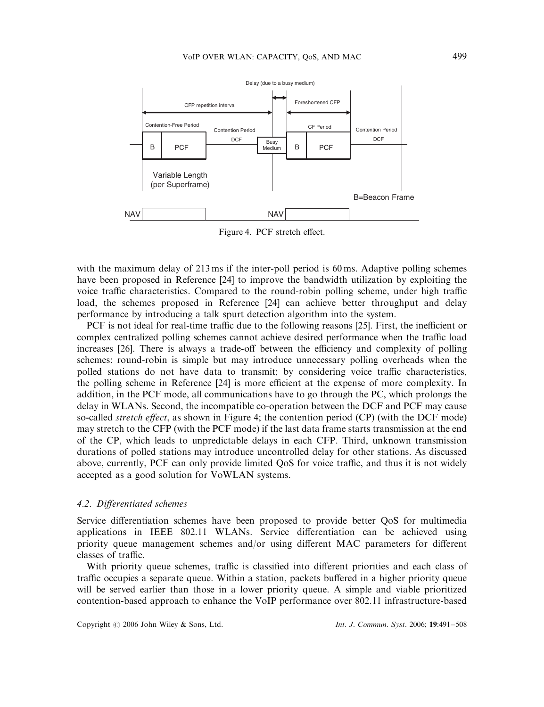

Figure 4. PCF stretch effect.

with the maximum delay of 213 ms if the inter-poll period is 60 ms. Adaptive polling schemes have been proposed in Reference [24] to improve the bandwidth utilization by exploiting the voice traffic characteristics. Compared to the round-robin polling scheme, under high traffic load, the schemes proposed in Reference [24] can achieve better throughput and delay performance by introducing a talk spurt detection algorithm into the system.

PCF is not ideal for real-time traffic due to the following reasons [25]. First, the inefficient or complex centralized polling schemes cannot achieve desired performance when the traffic load increases [26]. There is always a trade-off between the efficiency and complexity of polling schemes: round-robin is simple but may introduce unnecessary polling overheads when the polled stations do not have data to transmit; by considering voice traffic characteristics, the polling scheme in Reference [24] is more efficient at the expense of more complexity. In addition, in the PCF mode, all communications have to go through the PC, which prolongs the delay in WLANs. Second, the incompatible co-operation between the DCF and PCF may cause so-called *stretch effect*, as shown in Figure 4; the contention period (CP) (with the DCF mode) may stretch to the CFP (with the PCF mode) if the last data frame starts transmission at the end of the CP, which leads to unpredictable delays in each CFP. Third, unknown transmission durations of polled stations may introduce uncontrolled delay for other stations. As discussed above, currently, PCF can only provide limited QoS for voice traffic, and thus it is not widely accepted as a good solution for VoWLAN systems.

### 4.2. Differentiated schemes

Service differentiation schemes have been proposed to provide better QoS for multimedia applications in IEEE 802.11 WLANs. Service differentiation can be achieved using priority queue management schemes and/or using different MAC parameters for different classes of traffic.

With priority queue schemes, traffic is classified into different priorities and each class of traffic occupies a separate queue. Within a station, packets buffered in a higher priority queue will be served earlier than those in a lower priority queue. A simple and viable prioritized contention-based approach to enhance the VoIP performance over 802.11 infrastructure-based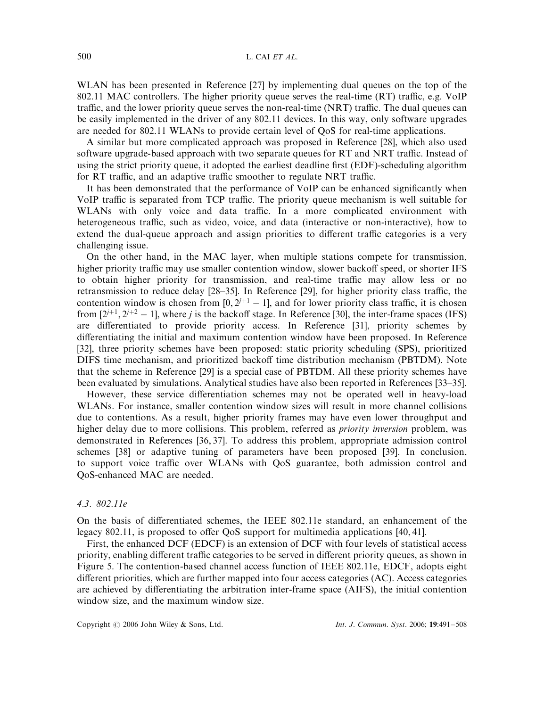WLAN has been presented in Reference [27] by implementing dual queues on the top of the 802.11 MAC controllers. The higher priority queue serves the real-time (RT) traffic, e.g. VoIP traffic, and the lower priority queue serves the non-real-time (NRT) traffic. The dual queues can be easily implemented in the driver of any 802.11 devices. In this way, only software upgrades are needed for 802.11 WLANs to provide certain level of QoS for real-time applications.

A similar but more complicated approach was proposed in Reference [28], which also used software upgrade-based approach with two separate queues for RT and NRT traffic. Instead of using the strict priority queue, it adopted the earliest deadline first (EDF)-scheduling algorithm for RT traffic, and an adaptive traffic smoother to regulate NRT traffic.

It has been demonstrated that the performance of VoIP can be enhanced significantly when VoIP traffic is separated from TCP traffic. The priority queue mechanism is well suitable for WLANs with only voice and data traffic. In a more complicated environment with heterogeneous traffic, such as video, voice, and data (interactive or non-interactive), how to extend the dual-queue approach and assign priorities to different traffic categories is a very challenging issue.

On the other hand, in the MAC layer, when multiple stations compete for transmission, higher priority traffic may use smaller contention window, slower backoff speed, or shorter IFS to obtain higher priority for transmission, and real-time traffic may allow less or no retransmission to reduce delay [28–35]. In Reference [29], for higher priority class traffic, the contention window is chosen from  $[0, 2^{j+1} - 1]$ , and for lower priority class traffic, it is chosen from  $[2^{j+1}, 2^{j+2} - 1]$ , where j is the backoff stage. In Reference [30], the inter-frame spaces (IFS) are differentiated to provide priority access. In Reference [31], priority schemes by differentiating the initial and maximum contention window have been proposed. In Reference [32], three priority schemes have been proposed: static priority scheduling (SPS), prioritized DIFS time mechanism, and prioritized backoff time distribution mechanism (PBTDM). Note that the scheme in Reference [29] is a special case of PBTDM. All these priority schemes have been evaluated by simulations. Analytical studies have also been reported in References [33–35].

However, these service differentiation schemes may not be operated well in heavy-load WLANs. For instance, smaller contention window sizes will result in more channel collisions due to contentions. As a result, higher priority frames may have even lower throughput and higher delay due to more collisions. This problem, referred as *priority inversion* problem, was demonstrated in References [36, 37]. To address this problem, appropriate admission control schemes [38] or adaptive tuning of parameters have been proposed [39]. In conclusion, to support voice traffic over WLANs with QoS guarantee, both admission control and QoS-enhanced MAC are needed.

### 4.3. 802.11e

On the basis of differentiated schemes, the IEEE 802.11e standard, an enhancement of the legacy 802.11, is proposed to offer QoS support for multimedia applications [40, 41].

First, the enhanced DCF (EDCF) is an extension of DCF with four levels of statistical access priority, enabling different traffic categories to be served in different priority queues, as shown in Figure 5. The contention-based channel access function of IEEE 802.11e, EDCF, adopts eight different priorities, which are further mapped into four access categories (AC). Access categories are achieved by differentiating the arbitration inter-frame space (AIFS), the initial contention window size, and the maximum window size.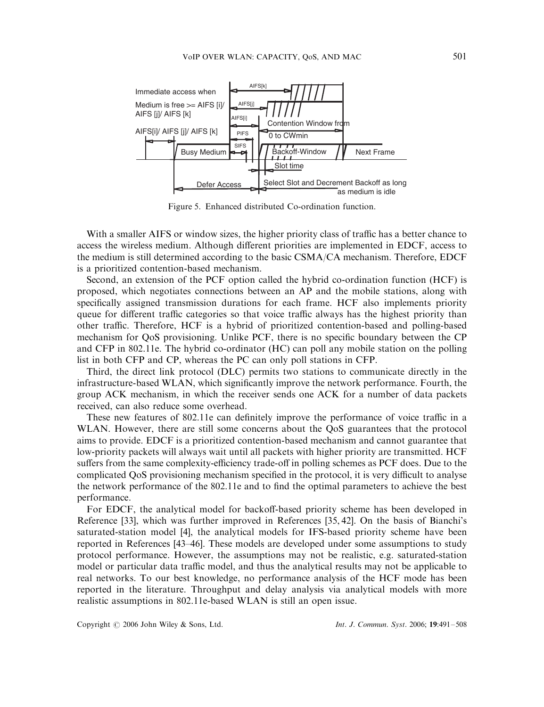

Figure 5. Enhanced distributed Co-ordination function.

With a smaller AIFS or window sizes, the higher priority class of traffic has a better chance to access the wireless medium. Although different priorities are implemented in EDCF, access to the medium is still determined according to the basic CSMA/CA mechanism. Therefore, EDCF is a prioritized contention-based mechanism.

Second, an extension of the PCF option called the hybrid co-ordination function (HCF) is proposed, which negotiates connections between an AP and the mobile stations, along with specifically assigned transmission durations for each frame. HCF also implements priority queue for different traffic categories so that voice traffic always has the highest priority than other traffic. Therefore, HCF is a hybrid of prioritized contention-based and polling-based mechanism for QoS provisioning. Unlike PCF, there is no specific boundary between the CP and CFP in 802.11e. The hybrid co-ordinator (HC) can poll any mobile station on the polling list in both CFP and CP, whereas the PC can only poll stations in CFP.

Third, the direct link protocol (DLC) permits two stations to communicate directly in the infrastructure-based WLAN, which significantly improve the network performance. Fourth, the group ACK mechanism, in which the receiver sends one ACK for a number of data packets received, can also reduce some overhead.

These new features of 802.11e can definitely improve the performance of voice traffic in a WLAN. However, there are still some concerns about the QoS guarantees that the protocol aims to provide. EDCF is a prioritized contention-based mechanism and cannot guarantee that low-priority packets will always wait until all packets with higher priority are transmitted. HCF suffers from the same complexity-efficiency trade-off in polling schemes as PCF does. Due to the complicated QoS provisioning mechanism specified in the protocol, it is very difficult to analyse the network performance of the 802.11e and to find the optimal parameters to achieve the best performance.

For EDCF, the analytical model for backoff-based priority scheme has been developed in Reference [33], which was further improved in References [35, 42]. On the basis of Bianchi's saturated-station model [4], the analytical models for IFS-based priority scheme have been reported in References [43–46]. These models are developed under some assumptions to study protocol performance. However, the assumptions may not be realistic, e.g. saturated-station model or particular data traffic model, and thus the analytical results may not be applicable to real networks. To our best knowledge, no performance analysis of the HCF mode has been reported in the literature. Throughput and delay analysis via analytical models with more realistic assumptions in 802.11e-based WLAN is still an open issue.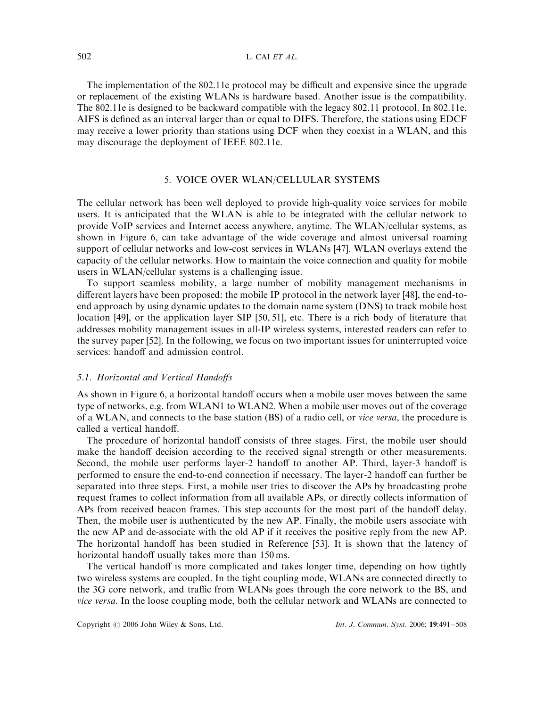The implementation of the 802.11e protocol may be difficult and expensive since the upgrade or replacement of the existing WLANs is hardware based. Another issue is the compatibility. The 802.11e is designed to be backward compatible with the legacy 802.11 protocol. In 802.11e, AIFS is defined as an interval larger than or equal to DIFS. Therefore, the stations using EDCF may receive a lower priority than stations using DCF when they coexist in a WLAN, and this may discourage the deployment of IEEE 802.11e.

# 5. VOICE OVER WLAN/CELLULAR SYSTEMS

The cellular network has been well deployed to provide high-quality voice services for mobile users. It is anticipated that the WLAN is able to be integrated with the cellular network to provide VoIP services and Internet access anywhere, anytime. The WLAN/cellular systems, as shown in Figure 6, can take advantage of the wide coverage and almost universal roaming support of cellular networks and low-cost services in WLANs [47]. WLAN overlays extend the capacity of the cellular networks. How to maintain the voice connection and quality for mobile users in WLAN/cellular systems is a challenging issue.

To support seamless mobility, a large number of mobility management mechanisms in different layers have been proposed: the mobile IP protocol in the network layer [48], the end-toend approach by using dynamic updates to the domain name system (DNS) to track mobile host location [49], or the application layer SIP [50, 51], etc. There is a rich body of literature that addresses mobility management issues in all-IP wireless systems, interested readers can refer to the survey paper [52]. In the following, we focus on two important issues for uninterrupted voice services: handoff and admission control.

### 5.1. Horizontal and Vertical Handoffs

As shown in Figure 6, a horizontal handoff occurs when a mobile user moves between the same type of networks, e.g. from WLAN1 to WLAN2: When a mobile user moves out of the coverage of a WLAN, and connects to the base station (BS) of a radio cell, or vice versa, the procedure is called a vertical handoff.

The procedure of horizontal handoff consists of three stages. First, the mobile user should make the handoff decision according to the received signal strength or other measurements. Second, the mobile user performs layer-2 handoff to another AP. Third, layer-3 handoff is performed to ensure the end-to-end connection if necessary. The layer-2 handoff can further be separated into three steps. First, a mobile user tries to discover the APs by broadcasting probe request frames to collect information from all available APs, or directly collects information of APs from received beacon frames. This step accounts for the most part of the handoff delay. Then, the mobile user is authenticated by the new AP. Finally, the mobile users associate with the new AP and de-associate with the old AP if it receives the positive reply from the new AP. The horizontal handoff has been studied in Reference [53]. It is shown that the latency of horizontal handoff usually takes more than 150 ms.

The vertical handoff is more complicated and takes longer time, depending on how tightly two wireless systems are coupled. In the tight coupling mode, WLANs are connected directly to the 3G core network, and traffic from WLANs goes through the core network to the BS, and vice versa. In the loose coupling mode, both the cellular network and WLANs are connected to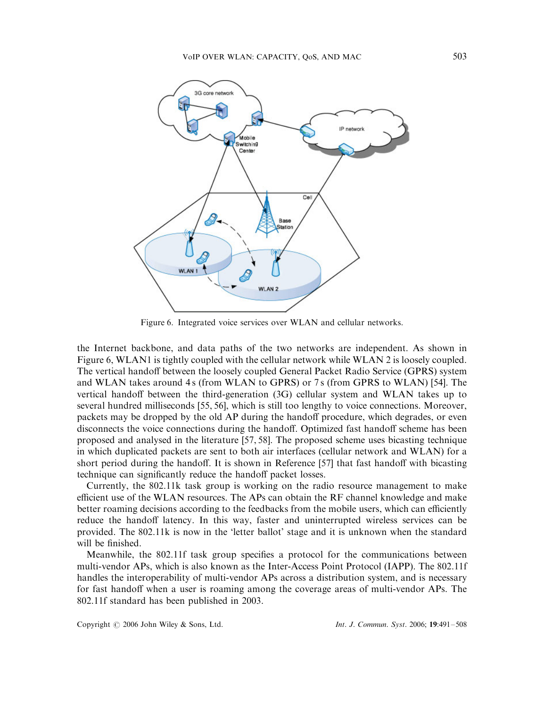

Figure 6. Integrated voice services over WLAN and cellular networks.

the Internet backbone, and data paths of the two networks are independent. As shown in Figure 6, WLAN1 is tightly coupled with the cellular network while WLAN 2 is loosely coupled. The vertical handoff between the loosely coupled General Packet Radio Service (GPRS) system and WLAN takes around 4 s (from WLAN to GPRS) or 7 s (from GPRS to WLAN) [54]. The vertical handoff between the third-generation (3G) cellular system and WLAN takes up to several hundred milliseconds [55, 56], which is still too lengthy to voice connections. Moreover, packets may be dropped by the old AP during the handoff procedure, which degrades, or even disconnects the voice connections during the handoff. Optimized fast handoff scheme has been proposed and analysed in the literature [57, 58]. The proposed scheme uses bicasting technique in which duplicated packets are sent to both air interfaces (cellular network and WLAN) for a short period during the handoff. It is shown in Reference [57] that fast handoff with bicasting technique can significantly reduce the handoff packet losses.

Currently, the 802.11k task group is working on the radio resource management to make efficient use of the WLAN resources. The APs can obtain the RF channel knowledge and make better roaming decisions according to the feedbacks from the mobile users, which can efficiently reduce the handoff latency. In this way, faster and uninterrupted wireless services can be provided. The 802.11k is now in the 'letter ballot' stage and it is unknown when the standard will be finished.

Meanwhile, the 802.11f task group specifies a protocol for the communications between multi-vendor APs, which is also known as the Inter-Access Point Protocol (IAPP). The 802.11f handles the interoperability of multi-vendor APs across a distribution system, and is necessary for fast handoff when a user is roaming among the coverage areas of multi-vendor APs. The 802.11f standard has been published in 2003.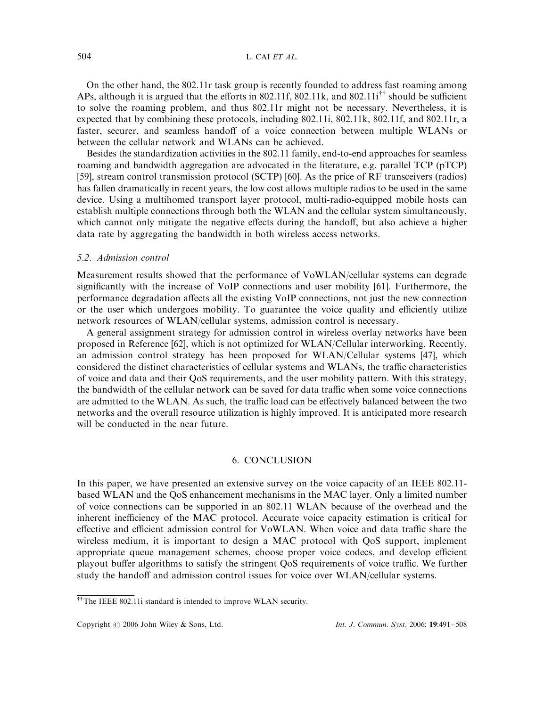On the other hand, the 802.11r task group is recently founded to address fast roaming among APs, although it is argued that the efforts in 802.11f, 802.11k, and 802.11i<sup>††</sup> should be sufficient to solve the roaming problem, and thus 802.11r might not be necessary. Nevertheless, it is expected that by combining these protocols, including 802.11i, 802.11k, 802.11f, and 802.11r, a faster, securer, and seamless handoff of a voice connection between multiple WLANs or between the cellular network and WLANs can be achieved.

Besides the standardization activities in the 802.11 family, end-to-end approaches for seamless roaming and bandwidth aggregation are advocated in the literature, e.g. parallel TCP (pTCP) [59], stream control transmission protocol (SCTP) [60]. As the price of RF transceivers (radios) has fallen dramatically in recent years, the low cost allows multiple radios to be used in the same device. Using a multihomed transport layer protocol, multi-radio-equipped mobile hosts can establish multiple connections through both the WLAN and the cellular system simultaneously, which cannot only mitigate the negative effects during the handoff, but also achieve a higher data rate by aggregating the bandwidth in both wireless access networks.

### 5.2. Admission control

Measurement results showed that the performance of VoWLAN/cellular systems can degrade significantly with the increase of VoIP connections and user mobility [61]. Furthermore, the performance degradation affects all the existing VoIP connections, not just the new connection or the user which undergoes mobility. To guarantee the voice quality and efficiently utilize network resources of WLAN/cellular systems, admission control is necessary.

A general assignment strategy for admission control in wireless overlay networks have been proposed in Reference [62], which is not optimized for WLAN/Cellular interworking. Recently, an admission control strategy has been proposed for WLAN/Cellular systems [47], which considered the distinct characteristics of cellular systems and WLANs, the traffic characteristics of voice and data and their QoS requirements, and the user mobility pattern. With this strategy, the bandwidth of the cellular network can be saved for data traffic when some voice connections are admitted to the WLAN. As such, the traffic load can be effectively balanced between the two networks and the overall resource utilization is highly improved. It is anticipated more research will be conducted in the near future.

# 6. CONCLUSION

In this paper, we have presented an extensive survey on the voice capacity of an IEEE 802.11 based WLAN and the QoS enhancement mechanisms in the MAC layer. Only a limited number of voice connections can be supported in an 802.11 WLAN because of the overhead and the inherent inefficiency of the MAC protocol. Accurate voice capacity estimation is critical for effective and efficient admission control for VoWLAN. When voice and data traffic share the wireless medium, it is important to design a MAC protocol with QoS support, implement appropriate queue management schemes, choose proper voice codecs, and develop efficient playout buffer algorithms to satisfy the stringent QoS requirements of voice traffic. We further study the handoff and admission control issues for voice over WLAN/cellular systems.

 $\hbox{^{\text{++}}}$  The IEEE 802.11i standard is intended to improve WLAN security.

Copyright © 2006 John Wiley & Sons, Ltd. Int. J. Commun. Syst. 2006; 19:491-508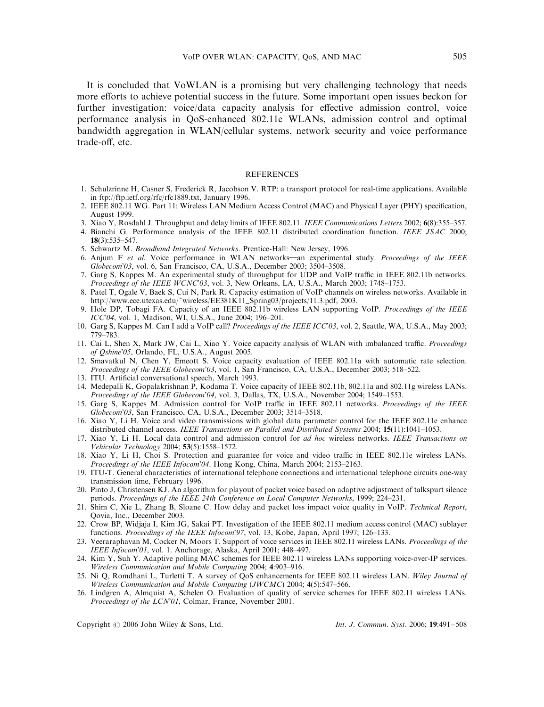It is concluded that VoWLAN is a promising but very challenging technology that needs more efforts to achieve potential success in the future. Some important open issues beckon for further investigation: voice/data capacity analysis for effective admission control, voice performance analysis in QoS-enhanced 802.11e WLANs, admission control and optimal bandwidth aggregation in WLAN/cellular systems, network security and voice performance trade-off, etc.

#### **REFERENCES**

- 1. Schulzrinne H, Casner S, Frederick R, Jacobson V. RTP: a transport protocol for real-time applications. Available in ftp://ftp.ietf.org/rfc/rfc1889.txt, January 1996.
- 2. IEEE 802.11 WG. Part 11: Wireless LAN Medium Access Control (MAC) and Physical Layer (PHY) specification, August 1999.
- 3. Xiao Y, Rosdahl J. Throughput and delay limits of IEEE 802.11. IEEE Communications Letters 2002; 6(8):355–357.
- 4. Bianchi G. Performance analysis of the IEEE 802.11 distributed coordination function. IEEE JSAC 2000; 18(3):535–547.
- 5. Schwartz M. Broadband Integrated Networks. Prentice-Hall: New Jersey, 1996.
- 6. Anjum F et al. Voice performance in WLAN networks—an experimental study. Proceedings of the IEEE Globecom'03, vol. 6, San Francisco, CA, U.S.A., December 2003; 3504–3508.
- 7. Garg S, Kappes M. An experimental study of throughput for UDP and VoIP traffic in IEEE 802.11b networks. Proceedings of the IEEE WCNC'03, vol. 3, New Orleans, LA, U.S.A., March 2003; 1748-1753.
- 8. Patel T, Ogale V, Baek S, Cui N, Park R. Capacity estimation of VoIP channels on wireless networks. Available in http://www.ece.utexas.edu/~wireless/EE381K11\_Spring03/projects/11.3.pdf, 2003.
- 9. Hole DP, Tobagi FA. Capacity of an IEEE 802.11b wireless LAN supporting VoIP. Proceedings of the IEEE ICC'04, vol. 1, Madison, WI, U.S.A., June 2004; 196–201.
- 10. Garg S, Kappes M. Can I add a VoIP call? Proceedings of the IEEE ICC'03, vol. 2, Seattle, WA, U.S.A., May 2003; 779–783.
- 11. Cai L, Shen X, Mark JW, Cai L, Xiao Y. Voice capacity analysis of WLAN with imbalanced traffic. Proceedings of Qshine'05, Orlando, FL, U.S.A., August 2005.
- 12. Smavatkul N, Chen Y, Emeott S. Voice capacity evaluation of IEEE 802.11a with automatic rate selection. Proceedings of the IEEE Globecom'03, vol. 1, San Francisco, CA, U.S.A., December 2003; 518–522.
- 13. ITU. Artificial conversational speech, March 1993.
- 14. Medepalli K, Gopalakrishnan P, Kodama T. Voice capacity of IEEE 802.11b, 802.11a and 802.11g wireless LANs. Proceedings of the IEEE Globecom'04, vol. 3, Dallas, TX, U.S.A., November 2004; 1549–1553.
- 15. Garg S, Kappes M. Admission control for VoIP traffic in IEEE 802.11 networks. Proceedings of the IEEE Globecom'03, San Francisco, CA, U.S.A., December 2003; 3514–3518.
- 16. Xiao Y, Li H. Voice and video transmissions with global data parameter control for the IEEE 802.11e enhance distributed channel access. IEEE Transactions on Parallel and Distributed Systems 2004; 15(11):1041-1053.
- 17. Xiao Y, Li H. Local data control and admission control for ad hoc wireless networks. IEEE Transactions on Vehicular Technology 2004; 53(5):1558–1572.
- 18. Xiao Y, Li H, Choi S. Protection and guarantee for voice and video traffic in IEEE 802.11e wireless LANs. Proceedings of the IEEE Infocom'04. Hong Kong, China, March 2004; 2153–2163.
- 19. ITU-T. General characteristics of international telephone connections and international telephone circuits one-way transmission time, February 1996.
- 20. Pinto J, Christensen KJ. An algorithm for playout of packet voice based on adaptive adjustment of talkspurt silence periods. Proceedings of the IEEE 24th Conference on Local Computer Networks, 1999; 224–231.
- 21. Shim C, Xie L, Zhang B, Sloane C. How delay and packet loss impact voice quality in VoIP. Technical Report, Qovia, Inc., December 2003.
- 22. Crow BP, Widjaja I, Kim JG, Sakai PT. Investigation of the IEEE 802.11 medium access control (MAC) sublayer functions. Proceedings of the IEEE Infocom'97, vol. 13, Kobe, Japan, April 1997; 126–133.
- 23. Veeraraphavan M, Cocker N, Moors T. Support of voice services in IEEE 802.11 wireless LANs. Proceedings of the IEEE Infocom'01, vol. 1. Anchorage, Alaska, April 2001; 448–497.
- 24. Kim Y, Suh Y. Adaptive polling MAC schemes for IEEE 802.11 wireless LANs supporting voice-over-IP services. Wireless Communication and Mobile Computing 2004; 4:903–916.
- 25. Ni Q, Romdhani L, Turletti T. A survey of QoS enhancements for IEEE 802.11 wireless LAN. Wiley Journal of Wireless Communication and Mobile Computing (JWCMC) 2004; 4(5):547–566.
- 26. Lindgren A, Almquist A, Schelen O. Evaluation of quality of service schemes for IEEE 802.11 wireless LANs. Proceedings of the LCN'01, Colmar, France, November 2001.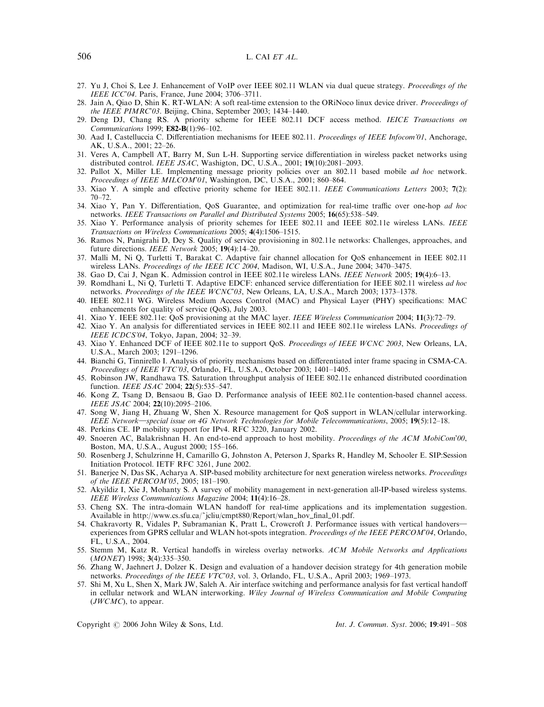- 27. Yu J, Choi S, Lee J. Enhancement of VoIP over IEEE 802.11 WLAN via dual queue strategy. Proceedings of the IEEE ICC'04. Paris, France, June 2004; 3706–3711.
- 28. Jain A, Qiao D, Shin K. RT-WLAN: A soft real-time extension to the ORiNoco linux device driver. Proceedings of the IEEE PIMRC'03. Beijing, China, September 2003; 1434–1440.
- 29. Deng DJ, Chang RS. A priority scheme for IEEE 802.11 DCF access method. IEICE Transactions on Communications 1999; E82-B(1):96–102.
- 30. Aad I, Castelluccia C. Differentiation mechanisms for IEEE 802.11. Proceedings of IEEE Infocom'01, Anchorage, AK, U.S.A., 2001; 22–26.
- 31. Veres A, Campbell AT, Barry M, Sun L-H. Supporting service differentiation in wireless packet networks using distributed control. IEEE JSAC, Washigton, DC, U.S.A., 2001;  $19(10):2081-2093$ .
- 32. Pallot X, Miller LE. Implementing message priority policies over an 802.11 based mobile ad hoc network. Proceedings of IEEE MILCOM'01, Washington, DC, U.S.A., 2001; 860-864.
- 33. Xiao Y. A simple and effective priority scheme for IEEE 802.11. IEEE Communications Letters 2003; 7(2): 70–72.
- 34. Xiao Y, Pan Y. Differentiation, QoS Guarantee, and optimization for real-time traffic over one-hop ad hoc networks. IEEE Transactions on Parallel and Distributed Systems 2005; 16(65):538–549.
- 35. Xiao Y. Performance analysis of priority schemes for IEEE 802.11 and IEEE 802.11e wireless LANs. IEEE Transactions on Wireless Communications 2005; 4(4):1506–1515.
- 36. Ramos N, Panigrahi D, Dey S. Quality of service provisioning in 802.11e networks: Challenges, approaches, and future directions. IEEE Network 2005; 19(4):14-20.
- 37. Malli M, Ni Q, Turletti T, Barakat C. Adaptive fair channel allocation for QoS enhancement in IEEE 802.11 wireless LANs. Proceedings of the IEEE ICC 2004, Madison, WI, U.S.A., June 2004; 3470–3475.
- 38. Gao D, Cai J, Ngan K. Admission control in IEEE 802.11e wireless LANs. IEEE Network 2005; 19(4):6–13.
- 39. Romdhani L, Ni Q, Turletti T. Adaptive EDCF: enhanced service differentiation for IEEE 802.11 wireless ad hoc networks. Proceedings of the IEEE WCNC'03, New Orleans, LA, U.S.A., March 2003; 1373–1378.
- 40. IEEE 802.11 WG. Wireless Medium Access Control (MAC) and Physical Layer (PHY) specifications: MAC enhancements for quality of service (QoS), July 2003.
- 41. Xiao Y. IEEE 802.11e: QoS provisioning at the MAC layer. IEEE Wireless Communication 2004; 11(3):72–79.
- 42. Xiao Y. An analysis for differentiated services in IEEE 802.11 and IEEE 802.11e wireless LANs. Proceedings of IEEE ICDCS'04, Tokyo, Japan, 2004; 32–39.
- 43. Xiao Y. Enhanced DCF of IEEE 802.11e to support QoS. Proceedings of IEEE WCNC 2003, New Orleans, LA, U.S.A., March 2003; 1291–1296.
- 44. Bianchi G, Tinnirello I. Analysis of priority mechanisms based on differentiated inter frame spacing in CSMA-CA. Proceedings of IEEE VTC'03, Orlando, FL, U.S.A., October 2003; 1401–1405.
- 45. Robinson JW, Randhawa TS. Saturation throughput analysis of IEEE 802.11e enhanced distributed coordination function. *IEEE JSAC* 2004; **22**(5):535–547.
- 46. Kong Z, Tsang D, Bensaou B, Gao D. Performance analysis of IEEE 802.11e contention-based channel access. IEEE JSAC 2004; 22(10):2095–2106.
- 47. Song W, Jiang H, Zhuang W, Shen X. Resource management for QoS support in WLAN/cellular interworking. IEEE Network—special issue on 4G Network Technologies for Mobile Telecommunications, 2005; 19(5):12–18.
- 48. Perkins CE. IP mobility support for IPv4. RFC 3220, January 2002.
- 49. Snoeren AC, Balakrishnan H. An end-to-end approach to host mobility. Proceedings of the ACM MobiCom'00, Boston, MA, U.S.A., August 2000; 155–166.
- 50. Rosenberg J, Schulzrinne H, Camarillo G, Johnston A, Peterson J, Sparks R, Handley M, Schooler E. SIP:Session Initiation Protocol. IETF RFC 3261, June 2002.
- 51. Banerjee N, Das SK, Acharya A. SIP-based mobility architecture for next generation wireless networks. Proceedings of the IEEE PERCOM'05, 2005; 181–190.
- 52. Akyildiz I, Xie J, Mohanty S. A survey of mobility management in next-generation all-IP-based wireless systems. IEEE Wireless Communications Magazine 2004; 11(4):16–28.
- 53. Cheng SX. The intra-domain WLAN handoff for real-time applications and its implementation suggestion. Available in http://www.cs.sfu.ca/~jcliu/cmpt880/Report/wlan\_hov\_final\_01.pdf.
- 54. Chakravorty R, Vidales P, Subramanian K, Pratt L, Crowcroft J. Performance issues with vertical handovers experiences from GPRS cellular and WLAN hot-spots integration. Proceedings of the IEEE PERCOM'04, Orlando, FL, U.S.A., 2004.
- 55. Stemm M, Katz R. Vertical handoffs in wireless overlay networks. ACM Mobile Networks and Applications (MONET) 1998; 3(4):335–350.
- 56. Zhang W, Jaehnert J, Dolzer K. Design and evaluation of a handover decision strategy for 4th generation mobile networks. Proceedings of the IEEE VTC'03, vol. 3, Orlando, FL, U.S.A., April 2003; 1969-1973.
- 57. Shi M, Xu L, Shen X, Mark JW, Saleh A. Air interface switching and performance analysis for fast vertical handoff in cellular network and WLAN interworking. Wiley Journal of Wireless Communication and Mobile Computing  $(JWCMC)$ , to appear.

Copyright  $\odot$  2006 John Wiley & Sons, Ltd. Int. J. Commun. Syst. 2006; 19:491-508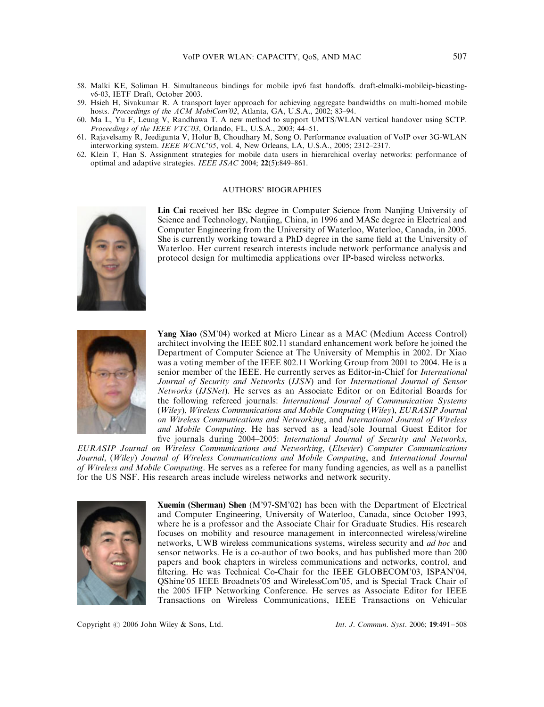- 58. Malki KE, Soliman H. Simultaneous bindings for mobile ipv6 fast handoffs. draft-elmalki-mobileip-bicastingv6-03, IETF Draft, October 2003.
- 59. Hsieh H, Sivakumar R. A transport layer approach for achieving aggregate bandwidths on multi-homed mobile hosts. *Proceedings of the ACM MobiCom'02*, Atlanta, GA, U.S.A., 2002; 83–94.
- 60. Ma L, Yu F, Leung V, Randhawa T. A new method to support UMTS/WLAN vertical handover using SCTP. Proceedings of the IEEE VTC'03, Orlando, FL, U.S.A., 2003; 44–51.
- 61. Rajavelsamy R, Jeedigunta V, Holur B, Choudhary M, Song O. Performance evaluation of VoIP over 3G-WLAN interworking system. IEEE WCNC'05, vol. 4, New Orleans, LA, U.S.A., 2005; 2312–2317.
- 62. Klein T, Han S. Assignment strategies for mobile data users in hierarchical overlay networks: performance of optimal and adaptive strategies. IEEE JSAC 2004; 22(5):849–861.

#### AUTHORS' BIOGRAPHIES



Lin Cai received her BSc degree in Computer Science from Nanjing University of Science and Technology, Nanjing, China, in 1996 and MASc degree in Electrical and Computer Engineering from the University of Waterloo, Waterloo, Canada, in 2005. She is currently working toward a PhD degree in the same field at the University of Waterloo. Her current research interests include network performance analysis and protocol design for multimedia applications over IP-based wireless networks.



Yang Xiao (SM'04) worked at Micro Linear as a MAC (Medium Access Control) architect involving the IEEE 802.11 standard enhancement work before he joined the Department of Computer Science at The University of Memphis in 2002. Dr Xiao was a voting member of the IEEE 802.11 Working Group from 2001 to 2004. He is a senior member of the IEEE. He currently serves as Editor-in-Chief for International Journal of Security and Networks (IJSN) and for International Journal of Sensor Networks (IJSNet). He serves as an Associate Editor or on Editorial Boards for the following refereed journals: International Journal of Communication Systems (Wiley), Wireless Communications and Mobile Computing (Wiley), EURASIP Journal on Wireless Communications and Networking, and International Journal of Wireless and Mobile Computing. He has served as a lead/sole Journal Guest Editor for five journals during 2004–2005: International Journal of Security and Networks,

EURASIP Journal on Wireless Communications and Networking, (Elsevier) Computer Communications Journal, (Wiley) Journal of Wireless Communications and Mobile Computing, and International Journal of Wireless and Mobile Computing. He serves as a referee for many funding agencies, as well as a panellist for the US NSF. His research areas include wireless networks and network security.



Xuemin (Sherman) Shen (M'97-SM'02) has been with the Department of Electrical and Computer Engineering, University of Waterloo, Canada, since October 1993, where he is a professor and the Associate Chair for Graduate Studies. His research focuses on mobility and resource management in interconnected wireless/wireline networks, UWB wireless communications systems, wireless security and ad hoc and sensor networks. He is a co-author of two books, and has published more than 200 papers and book chapters in wireless communications and networks, control, and filtering. He was Technical Co-Chair for the IEEE GLOBECOM'03, ISPAN'04, QShine'05 IEEE Broadnets'05 and WirelessCom'05, and is Special Track Chair of the 2005 IFIP Networking Conference. He serves as Associate Editor for IEEE Transactions on Wireless Communications, IEEE Transactions on Vehicular

Copyright  $\odot$  2006 John Wiley & Sons, Ltd. Int. J. Commun. Syst. 2006; 19:491–508